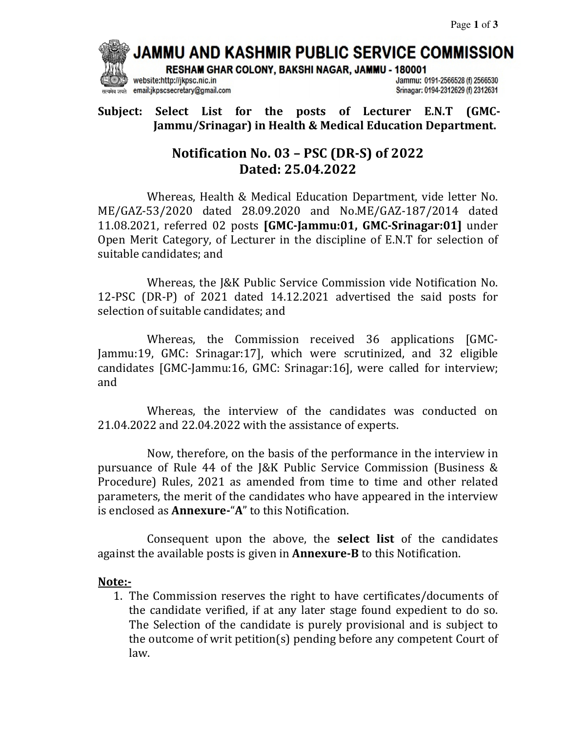JAMMU AND KASHMIR PUBLIC SERVICE COMMISSION

RESHAM GHAR COLONY, BAKSHI NAGAR, JAMMU - 180001

website:http://jkpsc.nic.in email:jkpscsecretary@gmail.com Jammu: 0191-2566528 (f) 2566530 Srinagar: 0194-2312629 (f) 2312631

**Subject: Select List for the posts of Lecturer E.N.T (GMC-Jammu/Srinagar) in Health & Medical Education Department.**

# **Notification No. 03 – PSC (DR-S) of 2022 Dated: 25.04.2022**

Whereas, Health & Medical Education Department, vide letter No. ME/GAZ-53/2020 dated 28.09.2020 and No.ME/GAZ-187/2014 dated 11.08.2021, referred 02 posts **[GMC-Jammu:01, GMC-Srinagar:01]** under Open Merit Category, of Lecturer in the discipline of E.N.T for selection of suitable candidates; and

 Whereas, the J&K Public Service Commission vide Notification No. 12-PSC (DR-P) of 2021 dated 14.12.2021 advertised the said posts for selection of suitable candidates; and

 Whereas, the Commission received 36 applications [GMC-Jammu:19, GMC: Srinagar:17], which were scrutinized, and 32 eligible candidates [GMC-Jammu:16, GMC: Srinagar:16], were called for interview; and

 Whereas, the interview of the candidates was conducted on 21.04.2022 and 22.04.2022 with the assistance of experts.

 Now, therefore, on the basis of the performance in the interview in pursuance of Rule 44 of the J&K Public Service Commission (Business & Procedure) Rules, 2021 as amended from time to time and other related parameters, the merit of the candidates who have appeared in the interview is enclosed as **Annexure-**"**A**" to this Notification.

 Consequent upon the above, the **select list** of the candidates against the available posts is given in **Annexure-B** to this Notification.

### **Note:-**

1. The Commission reserves the right to have certificates/documents of the candidate verified, if at any later stage found expedient to do so. The Selection of the candidate is purely provisional and is subject to the outcome of writ petition(s) pending before any competent Court of law.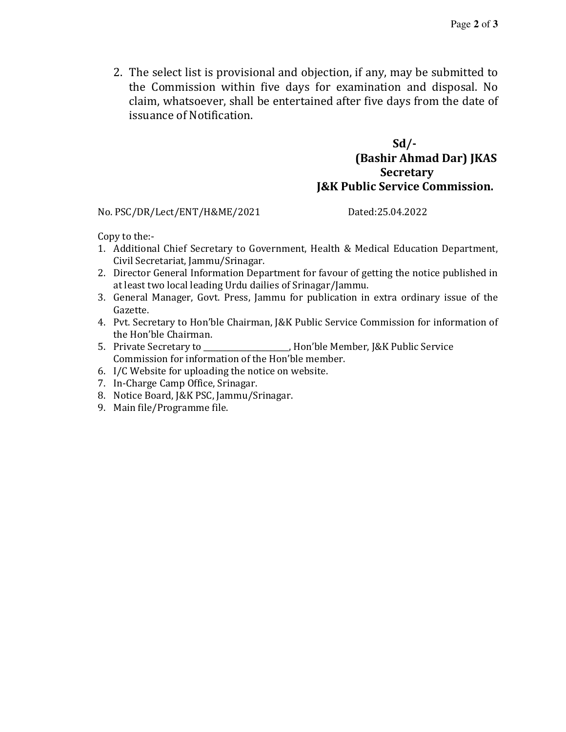2. The select list is provisional and objection, if any, may be submitted to the Commission within five days for examination and disposal. No claim, whatsoever, shall be entertained after five days from the date of issuance of Notification.

### **Sd/- (Bashir Ahmad Dar) JKAS Secretary J&K Public Service Commission.**

No. PSC/DR/Lect/ENT/H&ME/2021 Dated:25.04.2022

Copy to the:-

- 1. Additional Chief Secretary to Government, Health & Medical Education Department, Civil Secretariat, Jammu/Srinagar.
- 2. Director General Information Department for favour of getting the notice published in at least two local leading Urdu dailies of Srinagar/Jammu.
- 3. General Manager, Govt. Press, Jammu for publication in extra ordinary issue of the Gazette.
- 4. Pvt. Secretary to Hon'ble Chairman, J&K Public Service Commission for information of the Hon'ble Chairman.
- 5. Private Secretary to \_\_\_\_\_\_\_\_\_\_\_\_\_\_\_\_\_\_\_\_\_\_, Hon'ble Member, J&K Public Service Commission for information of the Hon'ble member.
- 6. I/C Website for uploading the notice on website.
- 7. In-Charge Camp Office, Srinagar.
- 8. Notice Board, J&K PSC, Jammu/Srinagar.
- 9. Main file/Programme file.